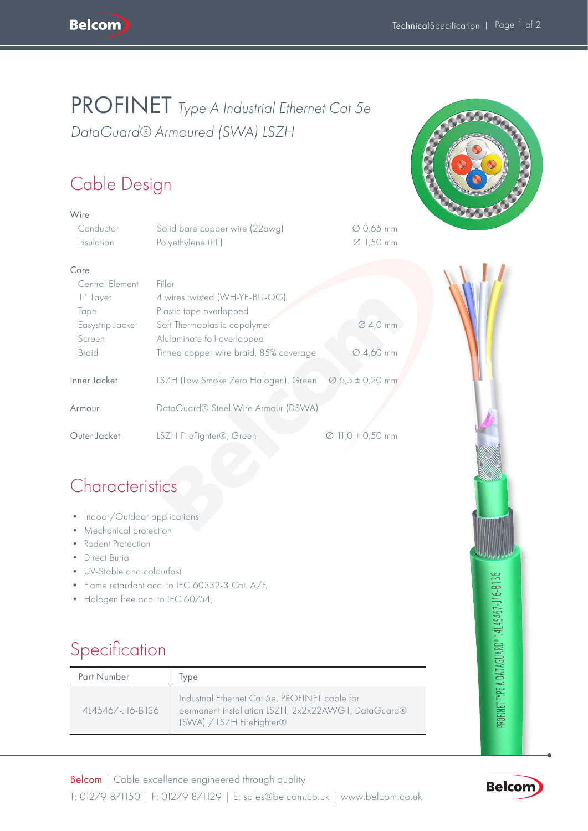## PROFINET *Type A Industrial Ethernet Cat 5e DataGuard® Armoured (SWA) LSZH*

# Cable Design

| Wire                                                                                                   |                                                                                                    |                                    |  |
|--------------------------------------------------------------------------------------------------------|----------------------------------------------------------------------------------------------------|------------------------------------|--|
| Conductor<br>Insulation                                                                                | Solid bare copper wire (22awg)<br>Polyethylene (PE)                                                | Ø 0,65 mm<br>$\varnothing$ 1,50 mm |  |
| Core                                                                                                   |                                                                                                    |                                    |  |
| Central Element<br>1° Layer<br>Tape<br>Easystrip Jacket                                                | Filler<br>4 wires twisted (WH-YE-BU-OG)<br>Plastic tape overlapped<br>Soft Thermoplastic copolymer | $\varnothing$ 4,0 mm               |  |
| Screen                                                                                                 | Alulaminate foil overlapped                                                                        |                                    |  |
| <b>Braid</b>                                                                                           | Tinned copper wire braid, 85% coverage                                                             | Ø 4,60 mm                          |  |
| Inner Jacket                                                                                           | LSZH (Low Smoke Zero Halogen), Green                                                               | $\varnothing$ 6,5 ± 0,20 mm        |  |
| Armour                                                                                                 | DataGuard® Steel Wire Armour (DSWA)                                                                |                                    |  |
| Outer Jacket                                                                                           | LSZH FireFighter®, Green                                                                           | $\varnothing$ 11,0 ± 0,50 mm       |  |
| Characteristics                                                                                        |                                                                                                    |                                    |  |
| Indoor/Outdoor applications<br>٠<br>Mechanical protection<br>Rodent Protection<br><b>Direct Burial</b> |                                                                                                    |                                    |  |
| • UV-Stable and colourfast                                                                             | • Flame retardant acc. to IEC 60332-3 Cat. A/F,                                                    |                                    |  |

## **Characteristics**

- Indoor/Outdoor applications
- Mechanical protection
- Rodent Protection
- Direct Burial
- UV-Stable and colourfast
- Flame retardant acc. to IEC 60332-3 Cat. A/F,
- Halogen free acc. to IEC 60754,

# Specification

| <b>Part Number</b> | lype                                                                                                                               |
|--------------------|------------------------------------------------------------------------------------------------------------------------------------|
| 14145467-116-B136  | Industrial Ethernet Cat 5e, PROFINET cable for<br>permanent installation LSZH, 2x2x22AWG1, DataGuard®<br>(SWA) / LSZH FireFighter® |